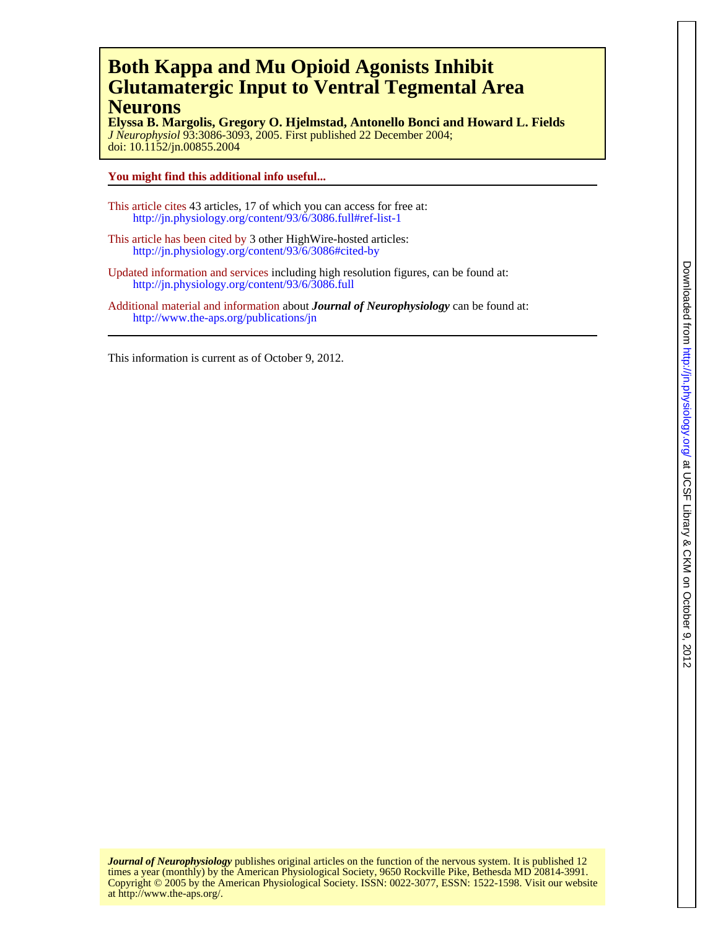## **Neurons Glutamatergic Input to Ventral Tegmental Area Both Kappa and Mu Opioid Agonists Inhibit**

doi: 10.1152/jn.00855.2004 *J Neurophysiol* 93:3086-3093, 2005. First published 22 December 2004; **Elyssa B. Margolis, Gregory O. Hjelmstad, Antonello Bonci and Howard L. Fields**

#### **You might find this additional info useful...**

- This article cites 43 articles, 17 of which you can access for free at: http://jn.physiology.org/content/93/6/3086.full#ref-list-1
- This article has been cited by 3 other HighWire-hosted articles: <http://jn.physiology.org/content/93/6/3086#cited-by>
- Updated information and services including high resolution figures, can be found at: http://jn.physiology.org/content/93/6/3086.full
- Additional material and information about *Journal of Neurophysiology* can be found at: http://www.the-aps.org/publications/jn

This information is current as of October 9, 2012.

at http://www.the-aps.org/. Copyright © 2005 by the American Physiological Society. ISSN: 0022-3077, ESSN: 1522-1598. Visit our website times a year (monthly) by the American Physiological Society, 9650 Rockville Pike, Bethesda MD 20814-3991. *Journal of Neurophysiology* publishes original articles on the function of the nervous system. It is published 12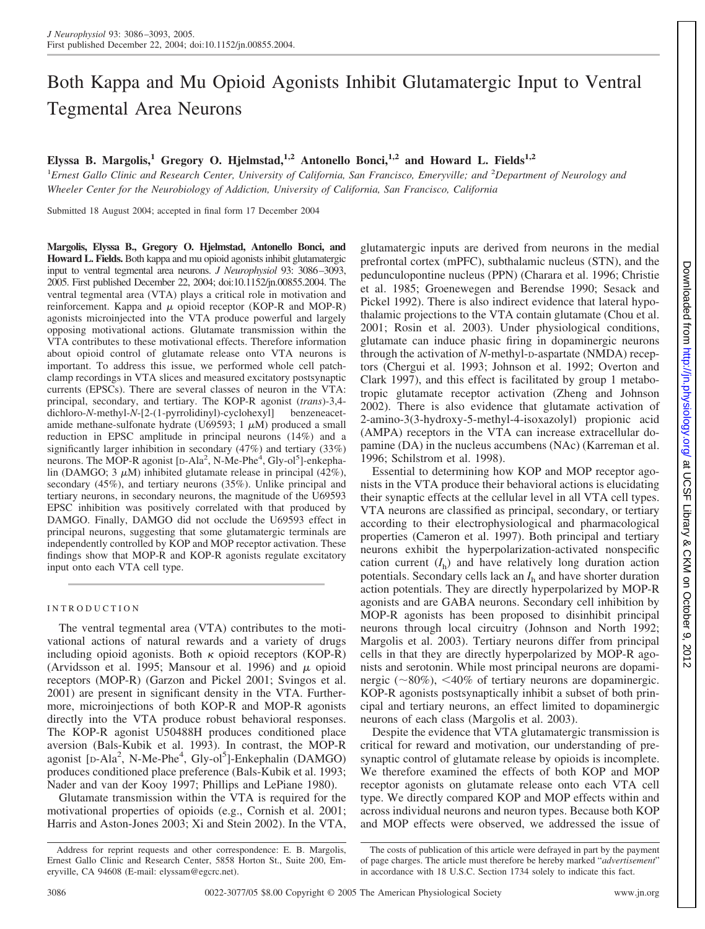# Both Kappa and Mu Opioid Agonists Inhibit Glutamatergic Input to Ventral Tegmental Area Neurons

### Elyssa B. Margolis,<sup>1</sup> Gregory O. Hjelmstad,<sup>1,2</sup> Antonello Bonci,<sup>1,2</sup> and Howard L. Fields<sup>1,2</sup>

<sup>1</sup> Ernest Gallo Clinic and Research Center, University of California, San Francisco, Emeryville; and <sup>2</sup> Department of Neurology and *Wheeler Center for the Neurobiology of Addiction, University of California, San Francisco, California*

Submitted 18 August 2004; accepted in final form 17 December 2004

**Margolis, Elyssa B., Gregory O. Hjelmstad, Antonello Bonci, and Howard L. Fields.** Both kappa and mu opioid agonists inhibit glutamatergic input to ventral tegmental area neurons. *J Neurophysiol* 93: 3086–3093, 2005. First published December 22, 2004; doi:10.1152/jn.00855.2004. The ventral tegmental area (VTA) plays a critical role in motivation and reinforcement. Kappa and  $\mu$  opioid receptor (KOP-R and MOP-R) agonists microinjected into the VTA produce powerful and largely opposing motivational actions. Glutamate transmission within the VTA contributes to these motivational effects. Therefore information about opioid control of glutamate release onto VTA neurons is important. To address this issue, we performed whole cell patchclamp recordings in VTA slices and measured excitatory postsynaptic currents (EPSCs). There are several classes of neuron in the VTA: principal, secondary, and tertiary. The KOP-R agonist (*trans*)-3,4 dichloro-*N*-methyl-*N*-[2-(1-pyrrolidinyl)-cyclohexyl] benzeneacetamide methane-sulfonate hydrate (U69593;  $1 \mu M$ ) produced a small reduction in EPSC amplitude in principal neurons (14%) and a significantly larger inhibition in secondary (47%) and tertiary (33%) neurons. The MOP-R agonist [D-Ala<sup>2</sup>, N-Me-Phe<sup>4</sup>, Gly-ol<sup>5</sup>]-enkephalin (DAMGO; 3  $\mu$ M) inhibited glutamate release in principal (42%), secondary (45%), and tertiary neurons (35%). Unlike principal and tertiary neurons, in secondary neurons, the magnitude of the U69593 EPSC inhibition was positively correlated with that produced by DAMGO. Finally, DAMGO did not occlude the U69593 effect in principal neurons, suggesting that some glutamatergic terminals are independently controlled by KOP and MOP receptor activation. These findings show that MOP-R and KOP-R agonists regulate excitatory input onto each VTA cell type.

#### INTRODUCTION

The ventral tegmental area (VTA) contributes to the motivational actions of natural rewards and a variety of drugs including opioid agonists. Both  $\kappa$  opioid receptors (KOP-R) (Arvidsson et al. 1995; Mansour et al. 1996) and  $\mu$  opioid receptors (MOP-R) (Garzon and Pickel 2001; Svingos et al. 2001) are present in significant density in the VTA. Furthermore, microinjections of both KOP-R and MOP-R agonists directly into the VTA produce robust behavioral responses. The KOP-R agonist U50488H produces conditioned place aversion (Bals-Kubik et al. 1993). In contrast, the MOP-R agonist [D-Ala<sup>2</sup>, N-Me-Phe<sup>4</sup>, Gly-ol<sup>5</sup>]-Enkephalin (DAMGO) produces conditioned place preference (Bals-Kubik et al. 1993; Nader and van der Kooy 1997; Phillips and LePiane 1980).

Glutamate transmission within the VTA is required for the motivational properties of opioids (e.g., Cornish et al. 2001; Harris and Aston-Jones 2003; Xi and Stein 2002). In the VTA, glutamatergic inputs are derived from neurons in the medial prefrontal cortex (mPFC), subthalamic nucleus (STN), and the pedunculopontine nucleus (PPN) (Charara et al. 1996; Christie et al. 1985; Groenewegen and Berendse 1990; Sesack and Pickel 1992). There is also indirect evidence that lateral hypothalamic projections to the VTA contain glutamate (Chou et al. 2001; Rosin et al. 2003). Under physiological conditions, glutamate can induce phasic firing in dopaminergic neurons through the activation of *N*-methyl-D-aspartate (NMDA) receptors (Chergui et al. 1993; Johnson et al. 1992; Overton and Clark 1997), and this effect is facilitated by group 1 metabotropic glutamate receptor activation (Zheng and Johnson 2002). There is also evidence that glutamate activation of 2-amino-3(3-hydroxy-5-methyl-4-isoxazolyl) propionic acid (AMPA) receptors in the VTA can increase extracellular dopamine (DA) in the nucleus accumbens (NAc) (Karreman et al. 1996; Schilstrom et al. 1998).

Essential to determining how KOP and MOP receptor agonists in the VTA produce their behavioral actions is elucidating their synaptic effects at the cellular level in all VTA cell types. VTA neurons are classified as principal, secondary, or tertiary according to their electrophysiological and pharmacological properties (Cameron et al. 1997). Both principal and tertiary neurons exhibit the hyperpolarization-activated nonspecific cation current  $(I<sub>b</sub>)$  and have relatively long duration action potentials. Secondary cells lack an *I*<sup>h</sup> and have shorter duration action potentials. They are directly hyperpolarized by MOP-R agonists and are GABA neurons. Secondary cell inhibition by MOP-R agonists has been proposed to disinhibit principal neurons through local circuitry (Johnson and North 1992; Margolis et al. 2003). Tertiary neurons differ from principal cells in that they are directly hyperpolarized by MOP-R agonists and serotonin. While most principal neurons are dopaminergic  $(\sim 80\%)$ ,  $\lt 40\%$  of tertiary neurons are dopaminergic. KOP-R agonists postsynaptically inhibit a subset of both principal and tertiary neurons, an effect limited to dopaminergic neurons of each class (Margolis et al. 2003).

Despite the evidence that VTA glutamatergic transmission is critical for reward and motivation, our understanding of presynaptic control of glutamate release by opioids is incomplete. We therefore examined the effects of both KOP and MOP receptor agonists on glutamate release onto each VTA cell type. We directly compared KOP and MOP effects within and across individual neurons and neuron types. Because both KOP and MOP effects were observed, we addressed the issue of

Address for reprint requests and other correspondence: E. B. Margolis, Ernest Gallo Clinic and Research Center, 5858 Horton St., Suite 200, Emeryville, CA 94608 (E-mail: elyssam@egcrc.net).

The costs of publication of this article were defrayed in part by the payment of page charges. The article must therefore be hereby marked "*advertisement*" in accordance with 18 U.S.C. Section 1734 solely to indicate this fact.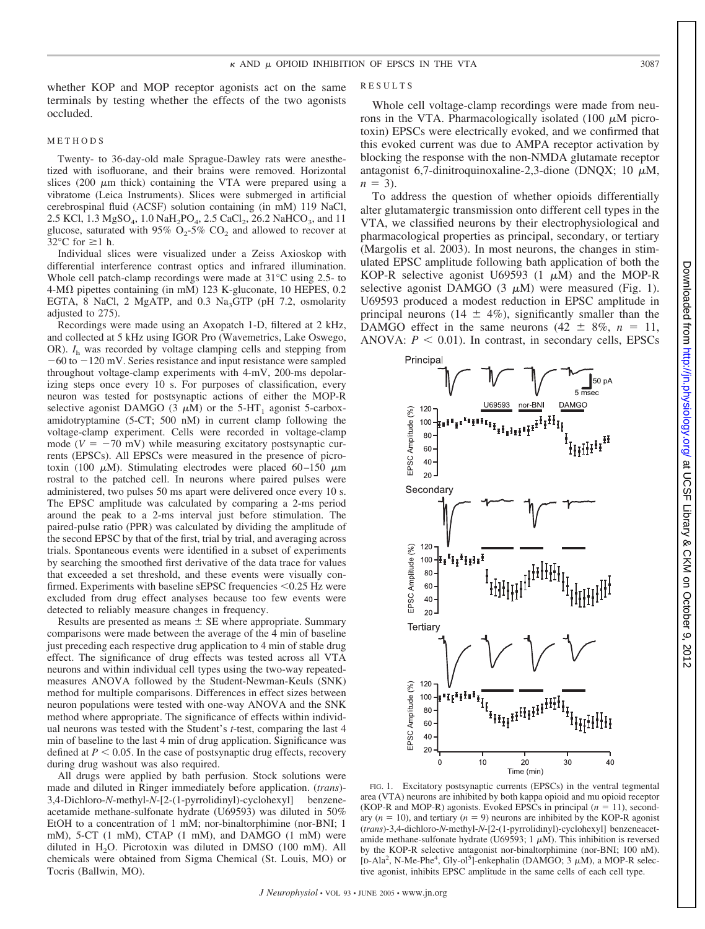whether KOP and MOP receptor agonists act on the same terminals by testing whether the effects of the two agonists occluded.

#### METHODS

Twenty- to 36-day-old male Sprague-Dawley rats were anesthetized with isofluorane, and their brains were removed. Horizontal slices (200  $\mu$ m thick) containing the VTA were prepared using a vibratome (Leica Instruments). Slices were submerged in artificial cerebrospinal fluid (ACSF) solution containing (in mM) 119 NaCl, 2.5 KCl, 1.3 MgSO<sub>4</sub>, 1.0 NaH<sub>2</sub>PO<sub>4</sub>, 2.5 CaCl<sub>2</sub>, 26.2 NaHCO<sub>3</sub>, and 11 glucose, saturated with 95%  $O_2$ -5%  $CO_2$  and allowed to recover at 32 $\degree$ C for  $\geq$ 1 h.

Individual slices were visualized under a Zeiss Axioskop with differential interference contrast optics and infrared illumination. Whole cell patch-clamp recordings were made at 31°C using 2.5- to  $4-M\Omega$  pipettes containing (in mM) 123 K-gluconate, 10 HEPES, 0.2 EGTA, 8 NaCl, 2 MgATP, and 0.3 Na<sub>3</sub>GTP (pH 7.2, osmolarity adjusted to 275).

Recordings were made using an Axopatch 1-D, filtered at 2 kHz, and collected at 5 kHz using IGOR Pro (Wavemetrics, Lake Oswego, OR).  $I<sub>h</sub>$  was recorded by voltage clamping cells and stepping from  $-60$  to  $-120$  mV. Series resistance and input resistance were sampled throughout voltage-clamp experiments with 4-mV, 200-ms depolarizing steps once every 10 s. For purposes of classification, every neuron was tested for postsynaptic actions of either the MOP-R selective agonist DAMGO (3  $\mu$ M) or the 5-HT<sub>1</sub> agonist 5-carboxamidotryptamine (5-CT; 500 nM) in current clamp following the voltage-clamp experiment. Cells were recorded in voltage-clamp mode ( $V = -70$  mV) while measuring excitatory postsynaptic currents (EPSCs). All EPSCs were measured in the presence of picrotoxin (100  $\mu$ M). Stimulating electrodes were placed 60–150  $\mu$ m rostral to the patched cell. In neurons where paired pulses were administered, two pulses 50 ms apart were delivered once every 10 s. The EPSC amplitude was calculated by comparing a 2-ms period around the peak to a 2-ms interval just before stimulation. The paired-pulse ratio (PPR) was calculated by dividing the amplitude of the second EPSC by that of the first, trial by trial, and averaging across trials. Spontaneous events were identified in a subset of experiments by searching the smoothed first derivative of the data trace for values that exceeded a set threshold, and these events were visually confirmed. Experiments with baseline sEPSC frequencies <0.25 Hz were excluded from drug effect analyses because too few events were detected to reliably measure changes in frequency.

Results are presented as means  $\pm$  SE where appropriate. Summary comparisons were made between the average of the 4 min of baseline just preceding each respective drug application to 4 min of stable drug effect. The significance of drug effects was tested across all VTA neurons and within individual cell types using the two-way repeatedmeasures ANOVA followed by the Student-Newman-Keuls (SNK) method for multiple comparisons. Differences in effect sizes between neuron populations were tested with one-way ANOVA and the SNK method where appropriate. The significance of effects within individual neurons was tested with the Student's *t*-test, comparing the last 4 min of baseline to the last 4 min of drug application. Significance was defined at  $P < 0.05$ . In the case of postsynaptic drug effects, recovery during drug washout was also required.

All drugs were applied by bath perfusion. Stock solutions were made and diluted in Ringer immediately before application. (*trans*)- 3,4-Dichloro-*N*-methyl-*N*-[2-(1-pyrrolidinyl)-cyclohexyl] benzeneacetamide methane-sulfonate hydrate (U69593) was diluted in 50% EtOH to a concentration of 1 mM; nor-binaltorphimine (nor-BNI; 1 mM), 5-CT (1 mM), CTAP (1 mM), and DAMGO (1 mM) were diluted in  $H<sub>2</sub>O$ . Picrotoxin was diluted in DMSO (100 mM). All chemicals were obtained from Sigma Chemical (St. Louis, MO) or Tocris (Ballwin, MO).

#### RESULTS

Whole cell voltage-clamp recordings were made from neurons in the VTA. Pharmacologically isolated (100  $\mu$ M picrotoxin) EPSCs were electrically evoked, and we confirmed that this evoked current was due to AMPA receptor activation by blocking the response with the non-NMDA glutamate receptor antagonist 6,7-dinitroquinoxaline-2,3-dione (DNQX; 10  $\mu$ M,  $n = 3$ ).

To address the question of whether opioids differentially alter glutamatergic transmission onto different cell types in the VTA, we classified neurons by their electrophysiological and pharmacological properties as principal, secondary, or tertiary (Margolis et al. 2003). In most neurons, the changes in stimulated EPSC amplitude following bath application of both the KOP-R selective agonist U69593 (1  $\mu$ M) and the MOP-R selective agonist DAMGO (3  $\mu$ M) were measured (Fig. 1). U69593 produced a modest reduction in EPSC amplitude in principal neurons (14  $\pm$  4%), significantly smaller than the DAMGO effect in the same neurons  $(42 \pm 8\%, n = 11,$ ANOVA:  $P < 0.01$ ). In contrast, in secondary cells, EPSCs



ᅙ

FIG. 1. Excitatory postsynaptic currents (EPSCs) in the ventral tegmental area (VTA) neurons are inhibited by both kappa opioid and mu opioid receptor (KOP-R and MOP-R) agonists. Evoked EPSCs in principal  $(n = 11)$ , secondary  $(n = 10)$ , and tertiary  $(n = 9)$  neurons are inhibited by the KOP-R agonist (*trans*)-3,4-dichloro-*N*-methyl-*N*-[2-(1-pyrrolidinyl)-cyclohexyl] benzeneacetamide methane-sulfonate hydrate (U69593; 1  $\mu$ M). This inhibition is reversed by the KOP-R selective antagonist nor-binaltorphimine (nor-BNI; 100 nM). [D-Ala<sup>2</sup>, N-Me-Phe<sup>4</sup>, Gly-ol<sup>5</sup>]-enkephalin (DAMGO; 3  $\mu$ M), a MOP-R selective agonist, inhibits EPSC amplitude in the same cells of each cell type.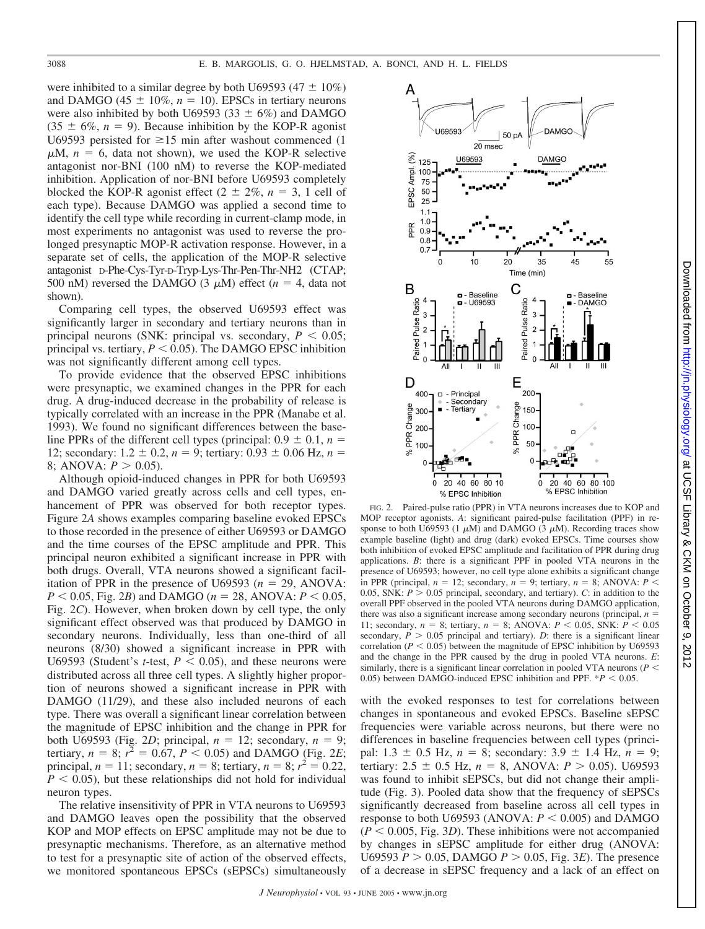were inhibited to a similar degree by both U69593 (47  $\pm$  10%) and DAMGO (45  $\pm$  10%,  $n = 10$ ). EPSCs in tertiary neurons were also inhibited by both U69593 (33  $\pm$  6%) and DAMGO  $(35 \pm 6\%, n = 9)$ . Because inhibition by the KOP-R agonist U69593 persisted for  $\geq 15$  min after washout commenced (1)  $\mu$ M,  $n = 6$ , data not shown), we used the KOP-R selective antagonist nor-BNI (100 nM) to reverse the KOP-mediated inhibition. Application of nor-BNI before U69593 completely blocked the KOP-R agonist effect  $(2 \pm 2\%, n = 3, 1 \text{ cell of})$ each type). Because DAMGO was applied a second time to identify the cell type while recording in current-clamp mode, in most experiments no antagonist was used to reverse the prolonged presynaptic MOP-R activation response. However, in a separate set of cells, the application of the MOP-R selective antagonist D-Phe-Cys-Tyr-D-Tryp-Lys-Thr-Pen-Thr-NH2 (CTAP; 500 nM) reversed the DAMGO (3  $\mu$ M) effect ( $n = 4$ , data not shown).

Comparing cell types, the observed U69593 effect was significantly larger in secondary and tertiary neurons than in principal neurons (SNK: principal vs. secondary,  $P < 0.05$ ; principal vs. tertiary,  $P \leq 0.05$ ). The DAMGO EPSC inhibition was not significantly different among cell types.

To provide evidence that the observed EPSC inhibitions were presynaptic, we examined changes in the PPR for each drug. A drug-induced decrease in the probability of release is typically correlated with an increase in the PPR (Manabe et al. 1993). We found no significant differences between the baseline PPRs of the different cell types (principal:  $0.9 \pm 0.1$ ,  $n =$ 12; secondary:  $1.2 \pm 0.2$ ,  $n = 9$ ; tertiary:  $0.93 \pm 0.06$  Hz,  $n =$ 8; ANOVA:  $P > 0.05$ ).

Although opioid-induced changes in PPR for both U69593 and DAMGO varied greatly across cells and cell types, enhancement of PPR was observed for both receptor types. Figure 2*A* shows examples comparing baseline evoked EPSCs to those recorded in the presence of either U69593 or DAMGO and the time courses of the EPSC amplitude and PPR. This principal neuron exhibited a significant increase in PPR with both drugs. Overall, VTA neurons showed a significant facilitation of PPR in the presence of U69593 ( $n = 29$ , ANOVA:  $P < 0.05$ , Fig. 2*B*) and DAMGO ( $n = 28$ , ANOVA:  $P < 0.05$ , Fig. 2*C*). However, when broken down by cell type, the only significant effect observed was that produced by DAMGO in secondary neurons. Individually, less than one-third of all neurons (8/30) showed a significant increase in PPR with U69593 (Student's *t*-test,  $P < 0.05$ ), and these neurons were distributed across all three cell types. A slightly higher proportion of neurons showed a significant increase in PPR with DAMGO (11/29), and these also included neurons of each type. There was overall a significant linear correlation between the magnitude of EPSC inhibition and the change in PPR for both U69593 (Fig. 2*D*; principal,  $n = 12$ ; secondary,  $n = 9$ ; tertiary,  $n = 8$ ;  $r^2 = 0.67$ ,  $P < 0.05$ ) and DAMGO (Fig. 2*E*; principal,  $n = 11$ ; secondary,  $n = 8$ ; tertiary,  $n = 8$ ;  $r^2 = 0.22$ ,  $P < 0.05$ ), but these relationships did not hold for individual neuron types.

The relative insensitivity of PPR in VTA neurons to U69593 and DAMGO leaves open the possibility that the observed KOP and MOP effects on EPSC amplitude may not be due to presynaptic mechanisms. Therefore, as an alternative method to test for a presynaptic site of action of the observed effects, we monitored spontaneous EPSCs (sEPSCs) simultaneously



http://jn.physiology.org/ at UCSF Library & CKM on October

at UCSF Library & CKM on October 9, 2012 <http://jn.physiology.org/> Downloaded from

 $\ddot{\circ}$ 2012

Downloaded from

FIG. 2. Paired-pulse ratio (PPR) in VTA neurons increases due to KOP and MOP receptor agonists. *A*: significant paired-pulse facilitation (PPF) in response to both U69593 (1  $\mu$ M) and DAMGO (3  $\mu$ M). Recording traces show example baseline (light) and drug (dark) evoked EPSCs. Time courses show both inhibition of evoked EPSC amplitude and facilitation of PPR during drug applications. *B*: there is a significant PPF in pooled VTA neurons in the presence of U69593; however, no cell type alone exhibits a significant change in PPR (principal,  $n = 12$ ; secondary,  $n = 9$ ; tertiary,  $n = 8$ ; ANOVA:  $P \le$ 0.05, SNK:  $P > 0.05$  principal, secondary, and tertiary). *C*: in addition to the overall PPF observed in the pooled VTA neurons during DAMGO application, there was also a significant increase among secondary neurons (principal,  $n =$ 11; secondary,  $n = 8$ ; tertiary,  $n = 8$ ; ANOVA:  $P < 0.05$ , SNK:  $P < 0.05$ secondary,  $P > 0.05$  principal and tertiary). *D*: there is a significant linear correlation ( $P < 0.05$ ) between the magnitude of EPSC inhibition by U69593 and the change in the PPR caused by the drug in pooled VTA neurons. *E*: similarly, there is a significant linear correlation in pooled VTA neurons ( $P \leq$ 0.05) between DAMGO-induced EPSC inhibition and PPF.  $*P < 0.05$ .

with the evoked responses to test for correlations between changes in spontaneous and evoked EPSCs. Baseline sEPSC frequencies were variable across neurons, but there were no differences in baseline frequencies between cell types (principal:  $1.3 \pm 0.5$  Hz,  $n = 8$ ; secondary:  $3.9 \pm 1.4$  Hz,  $n = 9$ ; tertiary:  $2.5 \pm 0.5$  Hz,  $n = 8$ , ANOVA:  $P > 0.05$ ). U69593 was found to inhibit sEPSCs, but did not change their amplitude (Fig. 3). Pooled data show that the frequency of sEPSCs significantly decreased from baseline across all cell types in response to both U69593 (ANOVA:  $P < 0.005$ ) and DAMGO  $(P < 0.005, Fig. 3D)$ . These inhibitions were not accompanied by changes in sEPSC amplitude for either drug (ANOVA: U69593  $P > 0.05$ , DAMGO  $P > 0.05$ , Fig. 3*E*). The presence of a decrease in sEPSC frequency and a lack of an effect on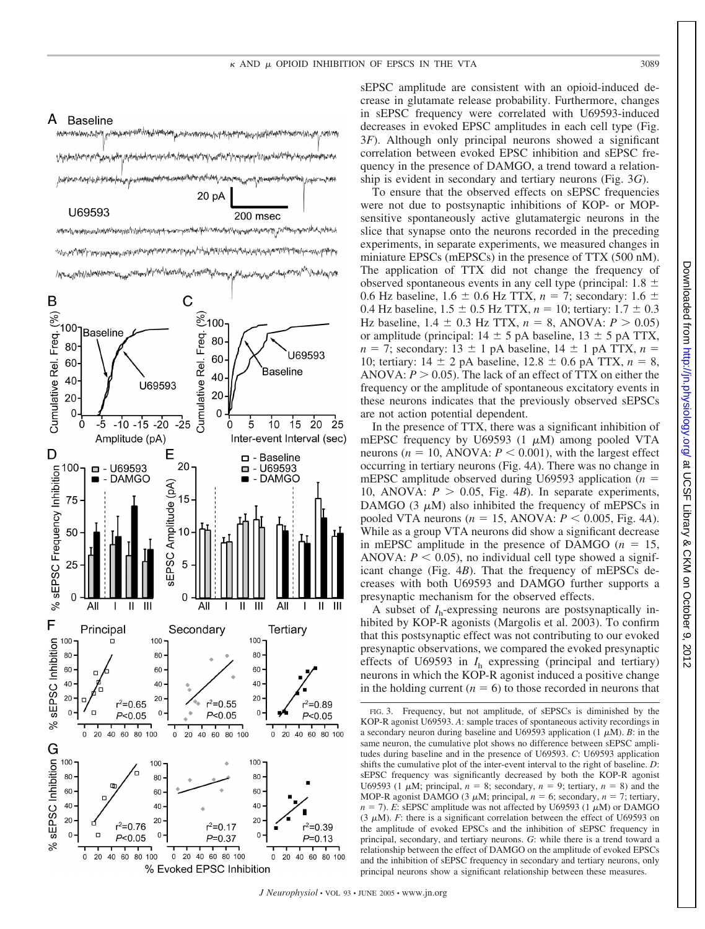

sEPSC amplitude are consistent with an opioid-induced decrease in glutamate release probability. Furthermore, changes in sEPSC frequency were correlated with U69593-induced decreases in evoked EPSC amplitudes in each cell type (Fig. 3*F*). Although only principal neurons showed a significant correlation between evoked EPSC inhibition and sEPSC frequency in the presence of DAMGO, a trend toward a relationship is evident in secondary and tertiary neurons (Fig. 3*G*).

To ensure that the observed effects on sEPSC frequencies were not due to postsynaptic inhibitions of KOP- or MOPsensitive spontaneously active glutamatergic neurons in the slice that synapse onto the neurons recorded in the preceding experiments, in separate experiments, we measured changes in miniature EPSCs (mEPSCs) in the presence of TTX (500 nM). The application of TTX did not change the frequency of observed spontaneous events in any cell type (principal:  $1.8 \pm$ 0.6 Hz baseline,  $1.6 \pm 0.6$  Hz TTX,  $n = 7$ ; secondary:  $1.6 \pm$ 0.4 Hz baseline,  $1.5 \pm 0.5$  Hz TTX,  $n = 10$ ; tertiary:  $1.7 \pm 0.3$ Hz baseline,  $1.4 \pm 0.3$  Hz TTX,  $n = 8$ , ANOVA:  $P > 0.05$ ) or amplitude (principal:  $14 \pm 5$  pA baseline,  $13 \pm 5$  pA TTX,  $n = 7$ ; secondary: 13  $\pm$  1 pA baseline, 14  $\pm$  1 pA TTX,  $n =$ 10; tertiary:  $14 \pm 2$  pA baseline,  $12.8 \pm 0.6$  pA TTX,  $n = 8$ , ANOVA:  $P > 0.05$ ). The lack of an effect of TTX on either the frequency or the amplitude of spontaneous excitatory events in these neurons indicates that the previously observed sEPSCs are not action potential dependent.

In the presence of TTX, there was a significant inhibition of mEPSC frequency by U69593 (1  $\mu$ M) among pooled VTA neurons ( $n = 10$ , ANOVA:  $P < 0.001$ ), with the largest effect occurring in tertiary neurons (Fig. 4*A*). There was no change in mEPSC amplitude observed during U69593 application (*n* 10, ANOVA:  $P > 0.05$ , Fig. 4*B*). In separate experiments, DAMGO (3  $\mu$ M) also inhibited the frequency of mEPSCs in pooled VTA neurons ( $n = 15$ , ANOVA:  $P < 0.005$ , Fig. 4*A*). While as a group VTA neurons did show a significant decrease in mEPSC amplitude in the presence of DAMGO  $(n = 15,$ ANOVA:  $P < 0.05$ ), no individual cell type showed a significant change (Fig. 4*B*). That the frequency of mEPSCs decreases with both U69593 and DAMGO further supports a presynaptic mechanism for the observed effects.

A subset of *I*h-expressing neurons are postsynaptically inhibited by KOP-R agonists (Margolis et al. 2003). To confirm that this postsynaptic effect was not contributing to our evoked presynaptic observations, we compared the evoked presynaptic effects of U69593 in *I*<sup>h</sup> expressing (principal and tertiary) neurons in which the KOP-R agonist induced a positive change in the holding current  $(n = 6)$  to those recorded in neurons that

FIG. 3. Frequency, but not amplitude, of sEPSCs is diminished by the KOP-R agonist U69593. *A*: sample traces of spontaneous activity recordings in a secondary neuron during baseline and U69593 application  $(1 \mu M)$ . *B*: in the same neuron, the cumulative plot shows no difference between sEPSC amplitudes during baseline and in the presence of U69593. *C*: U69593 application shifts the cumulative plot of the inter-event interval to the right of baseline. *D*: sEPSC frequency was significantly decreased by both the KOP-R agonist U69593 (1  $\mu$ M; principal,  $n = 8$ ; secondary,  $n = 9$ ; tertiary,  $n = 8$ ) and the MOP-R agonist DAMGO (3  $\mu$ M; principal,  $n = 6$ ; secondary,  $n = 7$ ; tertiary,  $n = 7$ ). *E*: sEPSC amplitude was not affected by U69593 (1  $\mu$ M) or DAMGO (3  $\mu$ M). *F*: there is a significant correlation between the effect of U69593 on the amplitude of evoked EPSCs and the inhibition of sEPSC frequency in principal, secondary, and tertiary neurons. *G*: while there is a trend toward a relationship between the effect of DAMGO on the amplitude of evoked EPSCs and the inhibition of sEPSC frequency in secondary and tertiary neurons, only principal neurons show a significant relationship between these measures.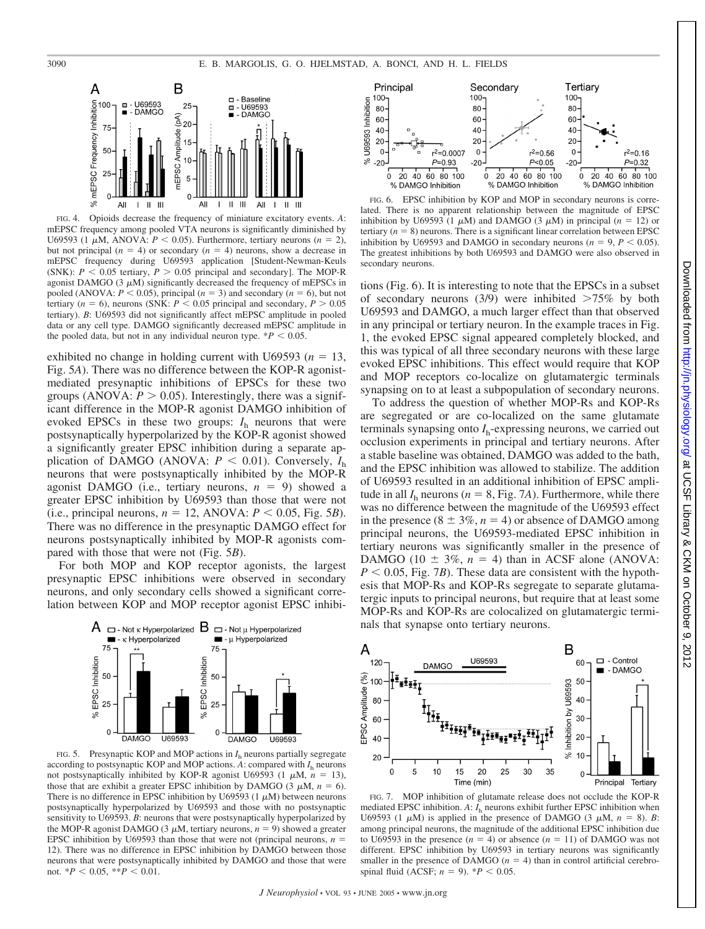

FIG. 4. Opioids decrease the frequency of miniature excitatory events. *A*: mEPSC frequency among pooled VTA neurons is significantly diminished by U69593 (1  $\mu$ M, ANOVA:  $P < 0.05$ ). Furthermore, tertiary neurons ( $n = 2$ ), but not principal  $(n = 4)$  or secondary  $(n = 4)$  neurons, show a decrease in mEPSC frequency during U69593 application [Student-Newman-Keuls (SNK):  $P < 0.05$  tertiary,  $P > 0.05$  principal and secondary]. The MOP-R agonist DAMGO  $(3 \mu M)$  significantly decreased the frequency of mEPSCs in pooled (ANOVA:  $P < 0.05$ ), principal ( $n = 3$ ) and secondary ( $n = 6$ ), but not tertiary ( $n = 6$ ), neurons (SNK:  $P < 0.05$  principal and secondary,  $P > 0.05$ tertiary). *B*: U69593 did not significantly affect mEPSC amplitude in pooled data or any cell type. DAMGO significantly decreased mEPSC amplitude in the pooled data, but not in any individual neuron type.  $*P < 0.05$ .

exhibited no change in holding current with U69593 ( $n = 13$ , Fig. 5*A*). There was no difference between the KOP-R agonistmediated presynaptic inhibitions of EPSCs for these two groups (ANOVA:  $P > 0.05$ ). Interestingly, there was a significant difference in the MOP-R agonist DAMGO inhibition of evoked EPSCs in these two groups:  $I<sub>h</sub>$  neurons that were postsynaptically hyperpolarized by the KOP-R agonist showed a significantly greater EPSC inhibition during a separate application of DAMGO (ANOVA:  $P < 0.01$ ). Conversely,  $I<sub>h</sub>$ neurons that were postsynaptically inhibited by the MOP-R agonist DAMGO (i.e., tertiary neurons,  $n = 9$ ) showed a greater EPSC inhibition by U69593 than those that were not  $(i.e., principal neurons, n = 12, ANOVA:  $P < 0.05$ , Fig. 5B).$ There was no difference in the presynaptic DAMGO effect for neurons postsynaptically inhibited by MOP-R agonists compared with those that were not (Fig. 5*B*).

For both MOP and KOP receptor agonists, the largest presynaptic EPSC inhibitions were observed in secondary neurons, and only secondary cells showed a significant correlation between KOP and MOP receptor agonist EPSC inhibi-



FIG. 5. Presynaptic KOP and MOP actions in *I*<sup>h</sup> neurons partially segregate according to postsynaptic KOP and MOP actions.  $A$ : compared with  $I<sub>h</sub>$  neurons not postsynaptically inhibited by KOP-R agonist U69593 (1  $\mu$ M,  $n = 13$ ), those that are exhibit a greater EPSC inhibition by DAMGO (3  $\mu$ M,  $n = 6$ ). There is no difference in EPSC inhibition by U69593 (1  $\mu$ M) between neurons postsynaptically hyperpolarized by U69593 and those with no postsynaptic sensitivity to U69593. *B*: neurons that were postsynaptically hyperpolarized by the MOP-R agonist DAMGO (3  $\mu$ M, tertiary neurons,  $n = 9$ ) showed a greater EPSC inhibition by U69593 than those that were not (principal neurons,  $n =$ 12). There was no difference in EPSC inhibition by DAMGO between those neurons that were postsynaptically inhibited by DAMGO and those that were not.  $*P < 0.05$ ,  $**P < 0.01$ .



FIG. 6. EPSC inhibition by KOP and MOP in secondary neurons is correlated. There is no apparent relationship between the magnitude of EPSC inhibition by U69593 (1  $\mu$ M) and DAMGO (3  $\mu$ M) in principal (*n* = 12) or tertiary  $(n = 8)$  neurons. There is a significant linear correlation between EPSC inhibition by U69593 and DAMGO in secondary neurons ( $n = 9, P < 0.05$ ). The greatest inhibitions by both U69593 and DAMGO were also observed in secondary neurons.

tions (Fig. 6). It is interesting to note that the EPSCs in a subset of secondary neurons (3/9) were inhibited  $>75\%$  by both U69593 and DAMGO, a much larger effect than that observed in any principal or tertiary neuron. In the example traces in Fig. 1, the evoked EPSC signal appeared completely blocked, and this was typical of all three secondary neurons with these large evoked EPSC inhibitions. This effect would require that KOP and MOP receptors co-localize on glutamatergic terminals synapsing on to at least a subpopulation of secondary neurons.

To address the question of whether MOP-Rs and KOP-Rs are segregated or are co-localized on the same glutamate terminals synapsing onto  $I<sub>h</sub>$ -expressing neurons, we carried out occlusion experiments in principal and tertiary neurons. After a stable baseline was obtained, DAMGO was added to the bath, and the EPSC inhibition was allowed to stabilize. The addition of U69593 resulted in an additional inhibition of EPSC amplitude in all  $I<sub>h</sub>$  neurons ( $n = 8$ , Fig. 7*A*). Furthermore, while there was no difference between the magnitude of the U69593 effect in the presence  $(8 \pm 3\%, n = 4)$  or absence of DAMGO among principal neurons, the U69593-mediated EPSC inhibition in tertiary neurons was significantly smaller in the presence of DAMGO (10  $\pm$  3%, *n* = 4) than in ACSF alone (ANOVA:  $P < 0.05$ , Fig. 7*B*). These data are consistent with the hypothesis that MOP-Rs and KOP-Rs segregate to separate glutamatergic inputs to principal neurons, but require that at least some MOP-Rs and KOP-Rs are colocalized on glutamatergic terminals that synapse onto tertiary neurons.



FIG. 7. MOP inhibition of glutamate release does not occlude the KOP-R mediated EPSC inhibition.  $A: I<sub>h</sub>$  neurons exhibit further EPSC inhibition when U69593 (1  $\mu$ M) is applied in the presence of DAMGO (3  $\mu$ M,  $n = 8$ ). *B*: among principal neurons, the magnitude of the additional EPSC inhibition due to U69593 in the presence  $(n = 4)$  or absence  $(n = 11)$  of DAMGO was not different. EPSC inhibition by U69593 in tertiary neurons was significantly smaller in the presence of DAMGO  $(n = 4)$  than in control artificial cerebrospinal fluid (ACSF;  $n = 9$ ).  $*P < 0.05$ .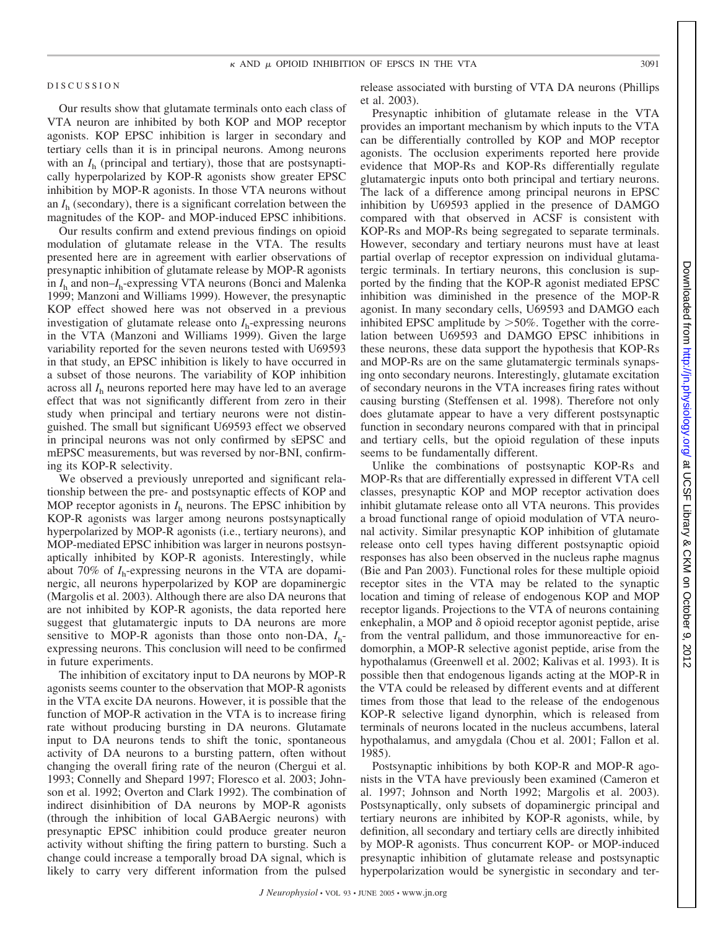#### DISCUSSION

Our results show that glutamate terminals onto each class of VTA neuron are inhibited by both KOP and MOP receptor agonists. KOP EPSC inhibition is larger in secondary and tertiary cells than it is in principal neurons. Among neurons with an  $I<sub>b</sub>$  (principal and tertiary), those that are postsynaptically hyperpolarized by KOP-R agonists show greater EPSC inhibition by MOP-R agonists. In those VTA neurons without an *I*<sup>h</sup> (secondary), there is a significant correlation between the magnitudes of the KOP- and MOP-induced EPSC inhibitions.

Our results confirm and extend previous findings on opioid modulation of glutamate release in the VTA. The results presented here are in agreement with earlier observations of presynaptic inhibition of glutamate release by MOP-R agonists in *I*<sup>h</sup> and non–*I*h-expressing VTA neurons (Bonci and Malenka 1999; Manzoni and Williams 1999). However, the presynaptic KOP effect showed here was not observed in a previous investigation of glutamate release onto  $I<sub>h</sub>$ -expressing neurons in the VTA (Manzoni and Williams 1999). Given the large variability reported for the seven neurons tested with U69593 in that study, an EPSC inhibition is likely to have occurred in a subset of those neurons. The variability of KOP inhibition across all *I*<sup>h</sup> neurons reported here may have led to an average effect that was not significantly different from zero in their study when principal and tertiary neurons were not distinguished. The small but significant U69593 effect we observed in principal neurons was not only confirmed by sEPSC and mEPSC measurements, but was reversed by nor-BNI, confirming its KOP-R selectivity.

We observed a previously unreported and significant relationship between the pre- and postsynaptic effects of KOP and MOP receptor agonists in  $I<sub>h</sub>$  neurons. The EPSC inhibition by KOP-R agonists was larger among neurons postsynaptically hyperpolarized by MOP-R agonists (i.e., tertiary neurons), and MOP-mediated EPSC inhibition was larger in neurons postsynaptically inhibited by KOP-R agonists. Interestingly, while about 70% of  $I_h$ -expressing neurons in the VTA are dopaminergic, all neurons hyperpolarized by KOP are dopaminergic (Margolis et al. 2003). Although there are also DA neurons that are not inhibited by KOP-R agonists, the data reported here suggest that glutamatergic inputs to DA neurons are more sensitive to MOP-R agonists than those onto non-DA, *I*hexpressing neurons. This conclusion will need to be confirmed in future experiments.

The inhibition of excitatory input to DA neurons by MOP-R agonists seems counter to the observation that MOP-R agonists in the VTA excite DA neurons. However, it is possible that the function of MOP-R activation in the VTA is to increase firing rate without producing bursting in DA neurons. Glutamate input to DA neurons tends to shift the tonic, spontaneous activity of DA neurons to a bursting pattern, often without changing the overall firing rate of the neuron (Chergui et al. 1993; Connelly and Shepard 1997; Floresco et al. 2003; Johnson et al. 1992; Overton and Clark 1992). The combination of indirect disinhibition of DA neurons by MOP-R agonists (through the inhibition of local GABAergic neurons) with presynaptic EPSC inhibition could produce greater neuron activity without shifting the firing pattern to bursting. Such a change could increase a temporally broad DA signal, which is likely to carry very different information from the pulsed

release associated with bursting of VTA DA neurons (Phillips et al. 2003).

Presynaptic inhibition of glutamate release in the VTA provides an important mechanism by which inputs to the VTA can be differentially controlled by KOP and MOP receptor agonists. The occlusion experiments reported here provide evidence that MOP-Rs and KOP-Rs differentially regulate glutamatergic inputs onto both principal and tertiary neurons. The lack of a difference among principal neurons in EPSC inhibition by U69593 applied in the presence of DAMGO compared with that observed in ACSF is consistent with KOP-Rs and MOP-Rs being segregated to separate terminals. However, secondary and tertiary neurons must have at least partial overlap of receptor expression on individual glutamatergic terminals. In tertiary neurons, this conclusion is supported by the finding that the KOP-R agonist mediated EPSC inhibition was diminished in the presence of the MOP-R agonist. In many secondary cells, U69593 and DAMGO each inhibited EPSC amplitude by  $>50\%$ . Together with the correlation between U69593 and DAMGO EPSC inhibitions in these neurons, these data support the hypothesis that KOP-Rs and MOP-Rs are on the same glutamatergic terminals synapsing onto secondary neurons. Interestingly, glutamate excitation of secondary neurons in the VTA increases firing rates without causing bursting (Steffensen et al. 1998). Therefore not only does glutamate appear to have a very different postsynaptic function in secondary neurons compared with that in principal and tertiary cells, but the opioid regulation of these inputs seems to be fundamentally different.

Unlike the combinations of postsynaptic KOP-Rs and MOP-Rs that are differentially expressed in different VTA cell classes, presynaptic KOP and MOP receptor activation does inhibit glutamate release onto all VTA neurons. This provides a broad functional range of opioid modulation of VTA neuronal activity. Similar presynaptic KOP inhibition of glutamate release onto cell types having different postsynaptic opioid responses has also been observed in the nucleus raphe magnus (Bie and Pan 2003). Functional roles for these multiple opioid receptor sites in the VTA may be related to the synaptic location and timing of release of endogenous KOP and MOP receptor ligands. Projections to the VTA of neurons containing enkephalin, a MOP and  $\delta$  opioid receptor agonist peptide, arise from the ventral pallidum, and those immunoreactive for endomorphin, a MOP-R selective agonist peptide, arise from the hypothalamus (Greenwell et al. 2002; Kalivas et al. 1993). It is possible then that endogenous ligands acting at the MOP-R in the VTA could be released by different events and at different times from those that lead to the release of the endogenous KOP-R selective ligand dynorphin, which is released from terminals of neurons located in the nucleus accumbens, lateral hypothalamus, and amygdala (Chou et al. 2001; Fallon et al. 1985).

Postsynaptic inhibitions by both KOP-R and MOP-R agonists in the VTA have previously been examined (Cameron et al. 1997; Johnson and North 1992; Margolis et al. 2003). Postsynaptically, only subsets of dopaminergic principal and tertiary neurons are inhibited by KOP-R agonists, while, by definition, all secondary and tertiary cells are directly inhibited by MOP-R agonists. Thus concurrent KOP- or MOP-induced presynaptic inhibition of glutamate release and postsynaptic hyperpolarization would be synergistic in secondary and ter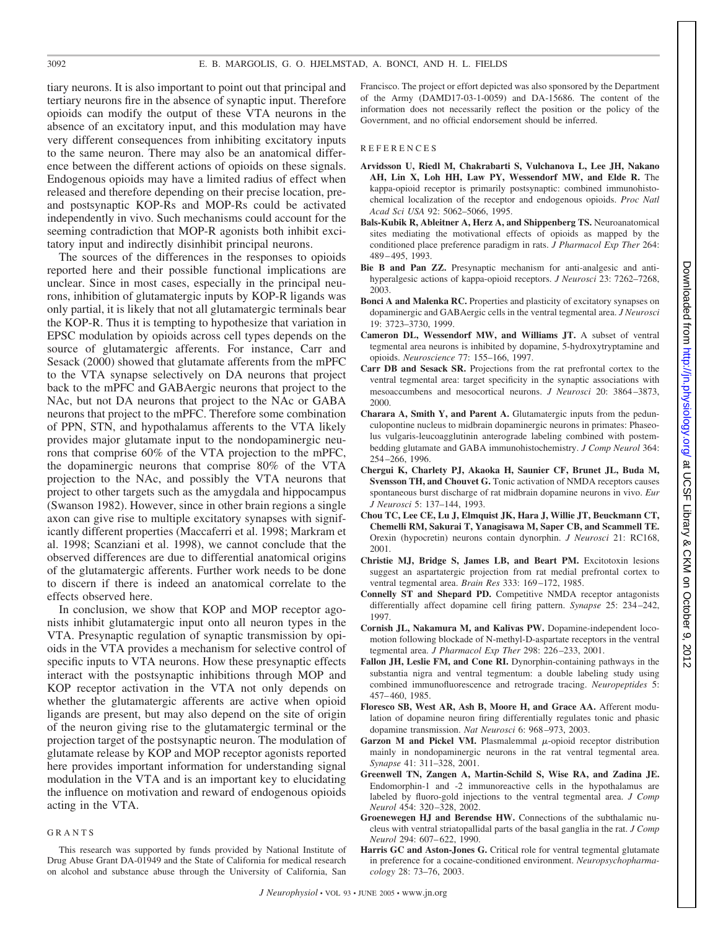tiary neurons. It is also important to point out that principal and tertiary neurons fire in the absence of synaptic input. Therefore opioids can modify the output of these VTA neurons in the absence of an excitatory input, and this modulation may have very different consequences from inhibiting excitatory inputs to the same neuron. There may also be an anatomical difference between the different actions of opioids on these signals. Endogenous opioids may have a limited radius of effect when released and therefore depending on their precise location, preand postsynaptic KOP-Rs and MOP-Rs could be activated independently in vivo. Such mechanisms could account for the seeming contradiction that MOP-R agonists both inhibit excitatory input and indirectly disinhibit principal neurons.

The sources of the differences in the responses to opioids reported here and their possible functional implications are unclear. Since in most cases, especially in the principal neurons, inhibition of glutamatergic inputs by KOP-R ligands was only partial, it is likely that not all glutamatergic terminals bear the KOP-R. Thus it is tempting to hypothesize that variation in EPSC modulation by opioids across cell types depends on the source of glutamatergic afferents. For instance, Carr and Sesack (2000) showed that glutamate afferents from the mPFC to the VTA synapse selectively on DA neurons that project back to the mPFC and GABAergic neurons that project to the NAc, but not DA neurons that project to the NAc or GABA neurons that project to the mPFC. Therefore some combination of PPN, STN, and hypothalamus afferents to the VTA likely provides major glutamate input to the nondopaminergic neurons that comprise 60% of the VTA projection to the mPFC, the dopaminergic neurons that comprise 80% of the VTA projection to the NAc, and possibly the VTA neurons that project to other targets such as the amygdala and hippocampus (Swanson 1982). However, since in other brain regions a single axon can give rise to multiple excitatory synapses with significantly different properties (Maccaferri et al. 1998; Markram et al. 1998; Scanziani et al. 1998), we cannot conclude that the observed differences are due to differential anatomical origins of the glutamatergic afferents. Further work needs to be done to discern if there is indeed an anatomical correlate to the effects observed here.

In conclusion, we show that KOP and MOP receptor agonists inhibit glutamatergic input onto all neuron types in the VTA. Presynaptic regulation of synaptic transmission by opioids in the VTA provides a mechanism for selective control of specific inputs to VTA neurons. How these presynaptic effects interact with the postsynaptic inhibitions through MOP and KOP receptor activation in the VTA not only depends on whether the glutamatergic afferents are active when opioid ligands are present, but may also depend on the site of origin of the neuron giving rise to the glutamatergic terminal or the projection target of the postsynaptic neuron. The modulation of glutamate release by KOP and MOP receptor agonists reported here provides important information for understanding signal modulation in the VTA and is an important key to elucidating the influence on motivation and reward of endogenous opioids acting in the VTA.

#### GRANTS

This research was supported by funds provided by National Institute of Drug Abuse Grant DA-01949 and the State of California for medical research on alcohol and substance abuse through the University of California, San

Francisco. The project or effort depicted was also sponsored by the Department of the Army (DAMD17-03-1-0059) and DA-15686. The content of the information does not necessarily reflect the position or the policy of the Government, and no official endorsement should be inferred.

#### REFERENCES

- **Arvidsson U, Riedl M, Chakrabarti S, Vulchanova L, Lee JH, Nakano AH, Lin X, Loh HH, Law PY, Wessendorf MW, and Elde R.** The kappa-opioid receptor is primarily postsynaptic: combined immunohistochemical localization of the receptor and endogenous opioids. *Proc Natl Acad Sci USA* 92: 5062–5066, 1995.
- **Bals-Kubik R, Ableitner A, Herz A, and Shippenberg TS.** Neuroanatomical sites mediating the motivational effects of opioids as mapped by the conditioned place preference paradigm in rats. *J Pharmacol Exp Ther* 264: 489 – 495, 1993.
- **Bie B and Pan ZZ.** Presynaptic mechanism for anti-analgesic and antihyperalgesic actions of kappa-opioid receptors. *J Neurosci* 23: 7262–7268, 2003.
- **Bonci A and Malenka RC.** Properties and plasticity of excitatory synapses on dopaminergic and GABAergic cells in the ventral tegmental area. *J Neurosci* 19: 3723–3730, 1999.
- **Cameron DL, Wessendorf MW, and Williams JT.** A subset of ventral tegmental area neurons is inhibited by dopamine, 5-hydroxytryptamine and opioids. *Neuroscience* 77: 155–166, 1997.
- **Carr DB and Sesack SR.** Projections from the rat prefrontal cortex to the ventral tegmental area: target specificity in the synaptic associations with mesoaccumbens and mesocortical neurons. *J Neurosci* 20: 3864 –3873, 2000.
- **Charara A, Smith Y, and Parent A.** Glutamatergic inputs from the pedunculopontine nucleus to midbrain dopaminergic neurons in primates: Phaseolus vulgaris-leucoagglutinin anterograde labeling combined with postembedding glutamate and GABA immunohistochemistry. *J Comp Neurol* 364: 254 –266, 1996.
- **Chergui K, Charlety PJ, Akaoka H, Saunier CF, Brunet JL, Buda M, Svensson TH, and Chouvet G.** Tonic activation of NMDA receptors causes spontaneous burst discharge of rat midbrain dopamine neurons in vivo. *Eur J Neurosci* 5: 137–144, 1993.
- **Chou TC, Lee CE, Lu J, Elmquist JK, Hara J, Willie JT, Beuckmann CT, Chemelli RM, Sakurai T, Yanagisawa M, Saper CB, and Scammell TE.** Orexin (hypocretin) neurons contain dynorphin. *J Neurosci* 21: RC168, 2001.
- **Christie MJ, Bridge S, James LB, and Beart PM.** Excitotoxin lesions suggest an aspartatergic projection from rat medial prefrontal cortex to ventral tegmental area. *Brain Res* 333: 169 –172, 1985.
- **Connelly ST and Shepard PD.** Competitive NMDA receptor antagonists differentially affect dopamine cell firing pattern. *Synapse* 25: 234 –242, 1997.
- **Cornish JL, Nakamura M, and Kalivas PW.** Dopamine-independent locomotion following blockade of N-methyl-D-aspartate receptors in the ventral tegmental area. *J Pharmacol Exp Ther* 298: 226 –233, 2001.
- **Fallon JH, Leslie FM, and Cone RI.** Dynorphin-containing pathways in the substantia nigra and ventral tegmentum: a double labeling study using combined immunofluorescence and retrograde tracing. *Neuropeptides* 5: 457– 460, 1985.
- **Floresco SB, West AR, Ash B, Moore H, and Grace AA.** Afferent modulation of dopamine neuron firing differentially regulates tonic and phasic dopamine transmission. *Nat Neurosci* 6: 968 –973, 2003.
- **Garzon M and Pickel VM.** Plasmalemmal  $\mu$ -opioid receptor distribution mainly in nondopaminergic neurons in the rat ventral tegmental area. *Synapse* 41: 311–328, 2001.
- **Greenwell TN, Zangen A, Martin-Schild S, Wise RA, and Zadina JE.** Endomorphin-1 and -2 immunoreactive cells in the hypothalamus are labeled by fluoro-gold injections to the ventral tegmental area. *J Comp Neurol* 454: 320 –328, 2002.
- **Groenewegen HJ and Berendse HW.** Connections of the subthalamic nucleus with ventral striatopallidal parts of the basal ganglia in the rat. *J Comp Neurol* 294: 607– 622, 1990.
- **Harris GC and Aston-Jones G.** Critical role for ventral tegmental glutamate in preference for a cocaine-conditioned environment. *Neuropsychopharmacology* 28: 73–76, 2003.